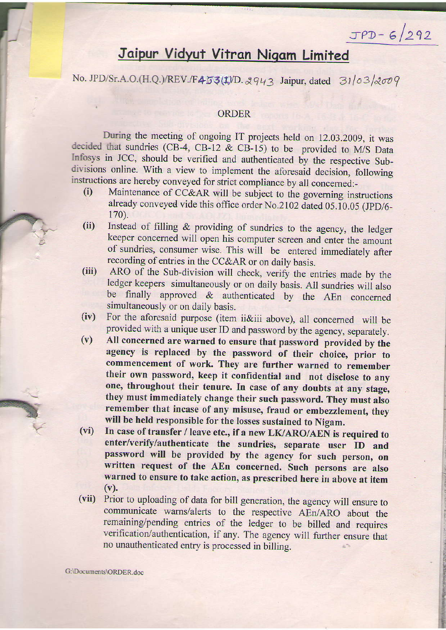## Jaipur Vidyut Vitran Nigam Limited

 $JPD-6/292$ 

**72.57** 

**ISBN 0-100 Chicago INCORP** 

T f **industrial industrial of the American syncoconum** 

No. JPD/Sr.A.O.(H.Q.)/REV./F453(1)/D. 2943 Jaipur, dated  $31/03/2009$ 

## ORDER

. . . *. .* . During the meeting of ongoing IT projects held on 12.03.2009, it was decided that sundries (CB-4, CB-12  $\&$  CB-15) to be provided to M/S Data lnfosys in JCC, should be verified and authenticated by the respective Sub\_ divisions online. With a view to implement the aforesaid decision, following instructions are hereby conveyed for strict compliance by all concerned:-<br>(i) Maintenance of CC&AR will be subject to the governing ing

- Maintenance of CC&AR will be subject to the governing instructions already conveyed vide this office order No.2l02 dated 05.10.05 (JpD/6- 170).
- (ii) Instead of filling & providing of sundries to the agency, the ledger keeper concerned will open his computer screen and enter the amount of sundries, consumer wise. This will be entered immediately after recording of entries in the CC&AR or on daily basis.
- (iii) ARO of the Sub-division will check, verify the entries made by the ledger keepers simultaneously or on daily basis. All sundries will also be finally approved & authenticated by the AEn concerned simultaneously or on daily basis.
- (iv) For the aforesaid purpose (item ii&iii above), all concemed will be provided with a unique user ID and password by the agency, separately.
- $(v)$ All concerned are warned to ensure that password provided by the agency is replaced by the password of their choice, prior to commencement of work. They are further warned to remember their own password, keep it confidential and not disclose to any one, throughout their tenure. In case of any doubts at any stage, they must immediately change their such password. They must also remember that incase of any misuse, fraud or embezzlement, they will be held responsible for the losses sustained to Nigam.
- (vi) In case of transfer / leave etc., if a new LK/ARO/AEN is required to enter/verify/authenticate the sundries, separate user ID and password will be provided by the agency for such person, on written request of the AEn concerned. Such persons are also warned to ensure to take action, as prescribed here in above at item  $(v)$ .
- (vii) Prior to uploading of data for bill generation, the agency will ensure to communicate wams/alerts to the respective AEn/ARO about the remaining/pending entries of the ledger to be billed and requires verification/authentication, if any. The agency will further ensure that no unauthenticated entry is processed in billing.

G:\Documents\ORDER.doc